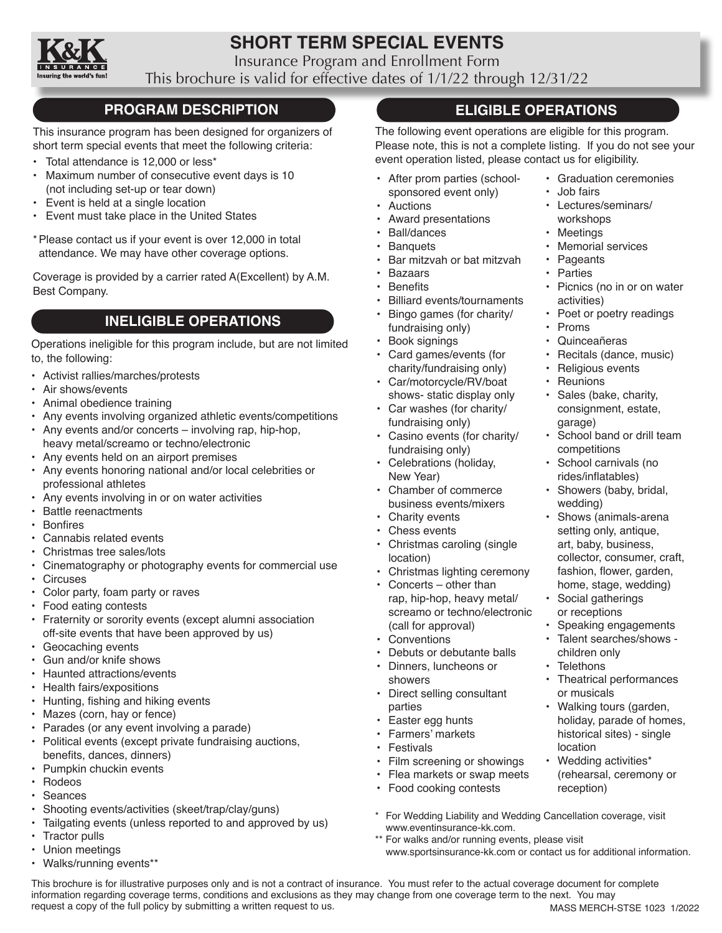

# **SHORT TERM SPECIAL EVENTS**

Insurance Program and Enrollment Form

This brochure is valid for effective dates of 1/1/22 through 12/31/22

# **PROGRAM DESCRIPTION**

This insurance program has been designed for organizers of short term special events that meet the following criteria:

- Total attendance is 12,000 or less\*
- Maximum number of consecutive event days is 10 (not including set-up or tear down)
- Event is held at a single location
- Event must take place in the United States
- \*Please contact us if your event is over 12,000 in total attendance. We may have other coverage options.

Coverage is provided by a carrier rated A(Excellent) by A.M. Best Company.

# **INELIGIBLE OPERATIONS**

Operations ineligible for this program include, but are not limited to, the following:

- Activist rallies/marches/protests
- Air shows/events
- Animal obedience training
- Any events involving organized athletic events/competitions
- Any events and/or concerts involving rap, hip-hop, heavy metal/screamo or techno/electronic
- Any events held on an airport premises
- Any events honoring national and/or local celebrities or professional athletes
- Any events involving in or on water activities<br>• Battle reenactments
- Battle reenactments
- • Bonfires
- Cannabis related events
- Christmas tree sales/lots
- Cinematography or photography events for commercial use
- Circuses
- Color party, foam party or raves
- Food eating contests
- Fraternity or sorority events (except alumni association off-site events that have been approved by us)
- Geocaching events
- Gun and/or knife shows
- Haunted attractions/events
- Health fairs/expositions
- • Hunting, fishing and hiking events
- Mazes (corn, hay or fence)
- Parades (or any event involving a parade)
- Political events (except private fundraising auctions, benefits, dances, dinners)
- Pumpkin chuckin events
- Rodeos
- Seances
- Shooting events/activities (skeet/trap/clay/guns)
- Tailgating events (unless reported to and approved by us)
- Tractor pulls
- Union meetings
- Walks/running events\*\*

# **ELIGIBLE OPERATIONS**

The following event operations are eligible for this program. Please note, this is not a complete listing. If you do not see your event operation listed, please contact us for eligibility.

- After prom parties (schoolsponsored event only)
- **Auctions**
- Award presentations
- Ball/dances
- Banquets
- Bar mitzvah or bat mitzvah
- Bazaars
- **Benefits**
- Billiard events/tournaments
- Bingo games (for charity/ fundraising only)
- Book signings
- Card games/events (for charity/fundraising only)
- Car/motorcycle/RV/boat shows- static display only
- Car washes (for charity/ fundraising only)
- Casino events (for charity/ fundraising only)
- Celebrations (holiday, New Year)
- Chamber of commerce business events/mixers
- Charity events
- Chess events
	- Christmas caroling (single location)
- Christmas lighting ceremony
- Concerts other than rap, hip-hop, heavy metal/ screamo or techno/electronic (call for approval)
- Conventions
- Debuts or debutante balls
- Dinners, luncheons or showers
- Direct selling consultant parties
- Easter egg hunts
- • Farmers' markets
- Festivals
- Film screening or showings
- Flea markets or swap meets
- Food cooking contests
- \* For Wedding Liability and Wedding Cancellation coverage, visit www.eventinsurance-kk.com.
- \*\* For walks and/or running events, please visit
	- www.sportsinsurance-kk.com or contact us for additional information.

MASS MERCH-STSE 1023 1/2022 This brochure is for illustrative purposes only and is not a contract of insurance. You must refer to the actual coverage document for complete information regarding coverage terms, conditions and exclusions as they may change from one coverage term to the next. You may request a copy of the full policy by submitting a written request to us.

- Graduation ceremonies
	- Job fairs
	- Lectures/seminars/ workshops
	- **Meetings**
	- Memorial services
	- **Pageants**
	- **Parties**
	- Picnics (no in or on water activities)
	- Poet or poetry readings
	- Proms
	- Quinceañeras
	- Recitals (dance, music)
	- Religious events
	- Reunions
	- Sales (bake, charity, consignment, estate, garage)

• Shows (animals-arena setting only, antique, art, baby, business, collector, consumer, craft, fashion, flower, garden, home, stage, wedding)

• Social gatherings or receptions

> children only **Telethons**

or musicals

location

reception)

• Speaking engagements • Talent searches/shows -

• Theatrical performances

• Walking tours (garden, holiday, parade of homes, historical sites) - single

• Wedding activities\* (rehearsal, ceremony or

competitions School carnivals (no rides/inflatables) • Showers (baby, bridal,

wedding)

School band or drill team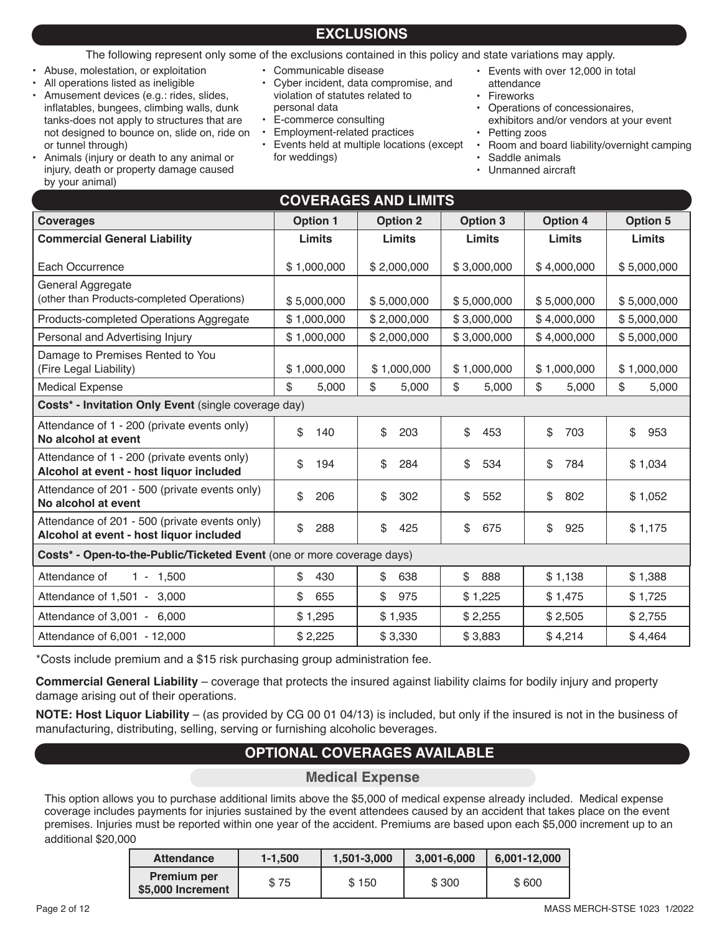# **EXCLUSIONS**

## The following represent only some of the exclusions contained in this policy and state variations may apply.

- Abuse, molestation, or exploitation
- All operations listed as ineligible

by your animal)

• Amusement devices (e.g.: rides, slides, inflatables, bungees, climbing walls, dunk tanks-does not apply to structures that are not designed to bounce on, slide on, ride on or tunnel through) • Animals (injury or death to any animal or

injury, death or property damage caused

- Communicable disease
- Cyber incident, data compromise, and violation of statutes related to personal data
- E-commerce consulting
- Employment-related practices
- Events held at multiple locations (except for weddings)
- Events with over 12,000 in total attendance
- **Fireworks**
- Operations of concessionaires,
- exhibitors and/or vendors at your event Petting zoos
- Room and board liability/overnight camping
- Saddle animals
- Unmanned aircraft

| <b>COVERAGES AND LIMITS</b>                                                              |                 |                 |                 |                 |                 |  |
|------------------------------------------------------------------------------------------|-----------------|-----------------|-----------------|-----------------|-----------------|--|
| <b>Coverages</b>                                                                         | <b>Option 1</b> | <b>Option 2</b> | <b>Option 3</b> | <b>Option 4</b> | <b>Option 5</b> |  |
| <b>Commercial General Liability</b>                                                      | Limits          | Limits          | Limits          | <b>Limits</b>   | Limits          |  |
| Each Occurrence                                                                          | \$1,000,000     | \$2,000,000     | \$3,000,000     | \$4,000,000     | \$5,000,000     |  |
| General Aggregate<br>(other than Products-completed Operations)                          | \$5,000,000     | \$5,000,000     | \$5,000,000     | \$5,000,000     | \$5,000,000     |  |
| Products-completed Operations Aggregate                                                  | \$1,000,000     | \$2,000,000     | \$3,000,000     | \$4,000,000     | \$5,000,000     |  |
| Personal and Advertising Injury                                                          | \$1,000,000     | \$2,000,000     | \$3,000,000     | \$4,000,000     | \$5,000,000     |  |
| Damage to Premises Rented to You<br>(Fire Legal Liability)                               | \$1,000,000     | \$1,000,000     | \$1,000,000     | \$1,000,000     | \$1,000,000     |  |
| <b>Medical Expense</b>                                                                   | \$<br>5,000     | \$<br>5,000     | \$<br>5,000     | \$<br>5,000     | \$<br>5,000     |  |
| Costs* - Invitation Only Event (single coverage day)                                     |                 |                 |                 |                 |                 |  |
| Attendance of 1 - 200 (private events only)<br>No alcohol at event                       | \$<br>140       | \$<br>203       | \$<br>453       | \$<br>703       | \$<br>953       |  |
| Attendance of 1 - 200 (private events only)<br>Alcohol at event - host liquor included   | \$<br>194       | \$<br>284       | \$<br>534       | \$<br>784       | \$1,034         |  |
| Attendance of 201 - 500 (private events only)<br>No alcohol at event                     | \$<br>206       | \$<br>302       | \$<br>552       | \$<br>802       | \$1,052         |  |
| Attendance of 201 - 500 (private events only)<br>Alcohol at event - host liquor included | \$<br>288       | \$<br>425       | \$<br>675       | \$<br>925       | \$1,175         |  |
| Costs* - Open-to-the-Public/Ticketed Event (one or more coverage days)                   |                 |                 |                 |                 |                 |  |
| Attendance of<br>$1 - 1,500$                                                             | \$<br>430       | \$<br>638       | \$<br>888       | \$1,138         | \$1,388         |  |
| Attendance of 1,501 - 3,000                                                              | \$<br>655       | \$<br>975       | \$1,225         | \$1,475         | \$1,725         |  |
| Attendance of 3,001 - 6,000                                                              | \$1,295         | \$1,935         | \$2,255         | \$2,505         | \$2,755         |  |
| Attendance of 6,001 - 12,000                                                             | \$2,225         | \$3,330         | \$3,883         | \$4,214         | \$4,464         |  |

\*Costs include premium and a \$15 risk purchasing group administration fee.

**Commercial General Liability** – coverage that protects the insured against liability claims for bodily injury and property damage arising out of their operations.

**NOTE: Host Liquor Liability** – (as provided by CG 00 01 04/13) is included, but only if the insured is not in the business of manufacturing, distributing, selling, serving or furnishing alcoholic beverages.

# **OPTIONAL COVERAGES AVAILABLE**

**Medical Expense**

This option allows you to purchase additional limits above the \$5,000 of medical expense already included. Medical expense coverage includes payments for injuries sustained by the event attendees caused by an accident that takes place on the event premises. Injuries must be reported within one year of the accident. Premiums are based upon each \$5,000 increment up to an additional \$20,000

| <b>Attendance</b>                       | $1 - 1.500$ | 1,501-3,000 | 3,001-6,000 | 6,001-12,000 |
|-----------------------------------------|-------------|-------------|-------------|--------------|
| <b>Premium per</b><br>\$5,000 Increment | \$75        | \$150       | \$300       | \$600        |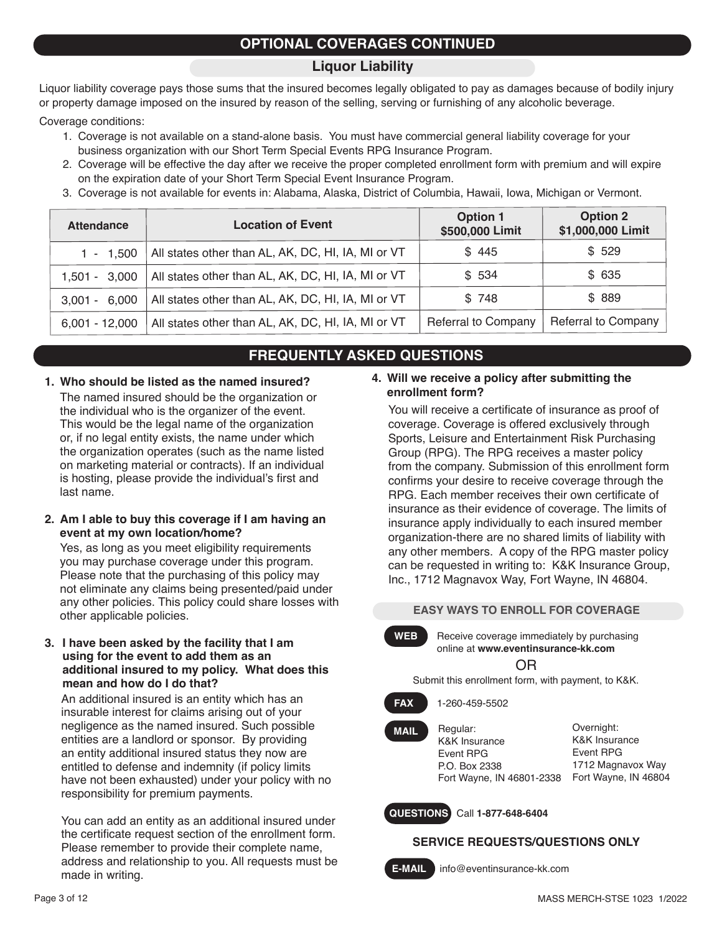# **OPTIONAL COVERAGES CONTINUED**

## **Liquor Liability**

Liquor liability coverage pays those sums that the insured becomes legally obligated to pay as damages because of bodily injury or property damage imposed on the insured by reason of the selling, serving or furnishing of any alcoholic beverage.

Coverage conditions:

- 1. Coverage is not available on a stand-alone basis. You must have commercial general liability coverage for your business organization with our Short Term Special Events RPG Insurance Program.
- 2. Coverage will be effective the day after we receive the proper completed enrollment form with premium and will expire on the expiration date of your Short Term Special Event Insurance Program.
- 3. Coverage is not available for events in: Alabama, Alaska, District of Columbia, Hawaii, Iowa, Michigan or Vermont.

| <b>Attendance</b>  | <b>Location of Event</b>                           | <b>Option 1</b><br>\$500,000 Limit | <b>Option 2</b><br>\$1,000,000 Limit |
|--------------------|----------------------------------------------------|------------------------------------|--------------------------------------|
| $1 - 1.500$        | All states other than AL, AK, DC, HI, IA, MI or VT | \$445                              | \$529                                |
| $1.501 - 3.000$    | All states other than AL, AK, DC, HI, IA, MI or VT | \$534                              | \$ 635                               |
| 6,000<br>$3.001 -$ | All states other than AL, AK, DC, HI, IA, MI or VT | \$748                              | \$ 889                               |
| $6,001 - 12,000$   | All states other than AL, AK, DC, HI, IA, MI or VT | <b>Referral to Company</b>         | <b>Referral to Company</b>           |

# **FREQUENTLY ASKED QUESTIONS**

**1. Who should be listed as the named insured?** The named insured should be the organization or the individual who is the organizer of the event. This would be the legal name of the organization or, if no legal entity exists, the name under which the organization operates (such as the name listed on marketing material or contracts). If an individual is hosting, please provide the individual's first and last name.

### **2. Am I able to buy this coverage if I am having an event at my own location/home?**

Yes, as long as you meet eligibility requirements you may purchase coverage under this program. Please note that the purchasing of this policy may not eliminate any claims being presented/paid under any other policies. This policy could share losses with other applicable policies.

### **3. I have been asked by the facility that I am using for the event to add them as an additional insured to my policy. What does this mean and how do I do that?**

An additional insured is an entity which has an insurable interest for claims arising out of your negligence as the named insured. Such possible entities are a landlord or sponsor. By providing an entity additional insured status they now are entitled to defense and indemnity (if policy limits have not been exhausted) under your policy with no responsibility for premium payments.

You can add an entity as an additional insured under the certificate request section of the enrollment form. Please remember to provide their complete name, address and relationship to you. All requests must be made in writing.

### **4. Will we receive a policy after submitting the enrollment form?**

You will receive a certificate of insurance as proof of coverage. Coverage is offered exclusively through Sports, Leisure and Entertainment Risk Purchasing Group (RPG). The RPG receives a master policy from the company. Submission of this enrollment form confirms your desire to receive coverage through the RPG. Each member receives their own certificate of insurance as their evidence of coverage. The limits of insurance apply individually to each insured member organization-there are no shared limits of liability with any other members. A copy of the RPG master policy can be requested in writing to: K&K Insurance Group, Inc., 1712 Magnavox Way, Fort Wayne, IN 46804.

### **EASY WAYS TO ENROLL FOR COVERAGE**

WEB Receive coverage immediately by purchasing online at **www.eventinsurance-kk.com**

OR

Submit this enrollment form, with payment, to K&K.

### **FAX** 1-260-459-5502

Regular: K&K Insurance Event RPG P.O. Box 2338

Overnight: K&K Insurance Event RPG 1712 Magnavox Way Fort Wayne, IN 46804 Fort Wayne, IN 46801-2338

**QUESTIONS** Call **1-877-648-6404**

## **SERVICE REQUESTS/QUESTIONS ONLY**

**MAIL**

**E-MAIL** info@eventinsurance-kk.com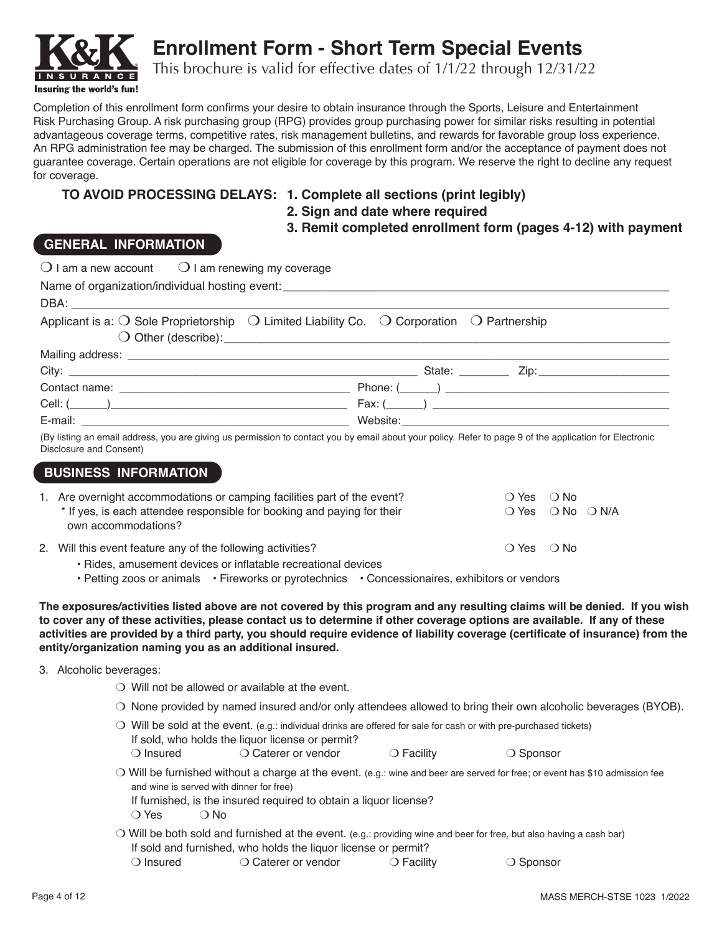

**Enrollment Form - Short Term Special Events**

This brochure is valid for effective dates of 1/1/22 through 12/31/22

Completion of this enrollment form confirms your desire to obtain insurance through the Sports, Leisure and Entertainment Risk Purchasing Group. A risk purchasing group (RPG) provides group purchasing power for similar risks resulting in potential advantageous coverage terms, competitive rates, risk management bulletins, and rewards for favorable group loss experience. An RPG administration fee may be charged. The submission of this enrollment form and/or the acceptance of payment does not guarantee coverage. Certain operations are not eligible for coverage by this program. We reserve the right to decline any request for coverage.

## **TO AVOID PROCESSING DELAYS: 1. Complete all sections (print legibly)**

- 
- **2. Sign and date where required**

 **3. Remit completed enrollment form (pages 4-12) with payment**

## **GENERAL INFORMATION**

| $\bigcirc$ I am a new account $\bigcirc$ I am renewing my coverage                                                                                                                 |                                                                                                                                                                                                                                                                                                                                                                                            |
|------------------------------------------------------------------------------------------------------------------------------------------------------------------------------------|--------------------------------------------------------------------------------------------------------------------------------------------------------------------------------------------------------------------------------------------------------------------------------------------------------------------------------------------------------------------------------------------|
| Name of organization/individual hosting event:                                                                                                                                     |                                                                                                                                                                                                                                                                                                                                                                                            |
|                                                                                                                                                                                    |                                                                                                                                                                                                                                                                                                                                                                                            |
| Applicant is a: $\bigcirc$ Sole Proprietorship $\bigcirc$ Limited Liability Co. $\bigcirc$ Corporation $\bigcirc$ Partnership                                                      |                                                                                                                                                                                                                                                                                                                                                                                            |
|                                                                                                                                                                                    |                                                                                                                                                                                                                                                                                                                                                                                            |
|                                                                                                                                                                                    |                                                                                                                                                                                                                                                                                                                                                                                            |
|                                                                                                                                                                                    |                                                                                                                                                                                                                                                                                                                                                                                            |
|                                                                                                                                                                                    |                                                                                                                                                                                                                                                                                                                                                                                            |
|                                                                                                                                                                                    |                                                                                                                                                                                                                                                                                                                                                                                            |
| (By listing an email address, you are giving us permission to contact you by email about your policy. Refer to page 9 of the application for Electronic<br>Disclosure and Consent) |                                                                                                                                                                                                                                                                                                                                                                                            |
| <b>BUSINESS INFORMATION</b>                                                                                                                                                        |                                                                                                                                                                                                                                                                                                                                                                                            |
| 1. Are overnight accommodations or camping facilities part of the event?                                                                                                           | $\bigcirc$ Yes<br>$\bigcirc$ No                                                                                                                                                                                                                                                                                                                                                            |
| * If yes, is each attendee responsible for booking and paying for their<br>own accommodations?                                                                                     | $\bigcirc$ Yes $\bigcirc$ No $\bigcirc$ N/A                                                                                                                                                                                                                                                                                                                                                |
| 2. Will this event feature any of the following activities?                                                                                                                        | $\bigcirc$ Yes $\bigcirc$ No                                                                                                                                                                                                                                                                                                                                                               |
| · Rides, amusement devices or inflatable recreational devices<br>• Petting zoos or animals • Fireworks or pyrotechnics • Concessionaires, exhibitors or vendors                    |                                                                                                                                                                                                                                                                                                                                                                                            |
| entity/organization naming you as an additional insured.                                                                                                                           | The exposures/activities listed above are not covered by this program and any resulting claims will be denied. If you wish<br>to cover any of these activities, please contact us to determine if other coverage options are available. If any of these<br>activities are provided by a third party, you should require evidence of liability coverage (certificate of insurance) from the |
| 3. Alcoholic beverages:                                                                                                                                                            |                                                                                                                                                                                                                                                                                                                                                                                            |
| $\bigcirc$ Will not be allowed or available at the event.                                                                                                                          |                                                                                                                                                                                                                                                                                                                                                                                            |
|                                                                                                                                                                                    | O None provided by named insured and/or only attendees allowed to bring their own alcoholic beverages (BYOB).                                                                                                                                                                                                                                                                              |
| If sold, who holds the liquor license or permit?<br>$\bigcirc$ Insured<br>○ Caterer or vendor                                                                                      | ○ Will be sold at the event. (e.g.: individual drinks are offered for sale for cash or with pre-purchased tickets)<br>○ Sponsor<br>$\bigcirc$ Facility                                                                                                                                                                                                                                     |
| and wine is served with dinner for free)<br>If furnished, is the insured required to obtain a liquor license?<br>$\bigcirc$ Yes $\bigcirc$ No                                      | O Will be furnished without a charge at the event. (e.g.: wine and beer are served for free; or event has \$10 admission fee                                                                                                                                                                                                                                                               |

 $\bigcirc$  Will be both sold and furnished at the event. (e.g.: providing wine and beer for free, but also having a cash bar) If sold and furnished, who holds the liquor license or permit?

O Insured Caterer or vendor Corporative Corporation Sponsor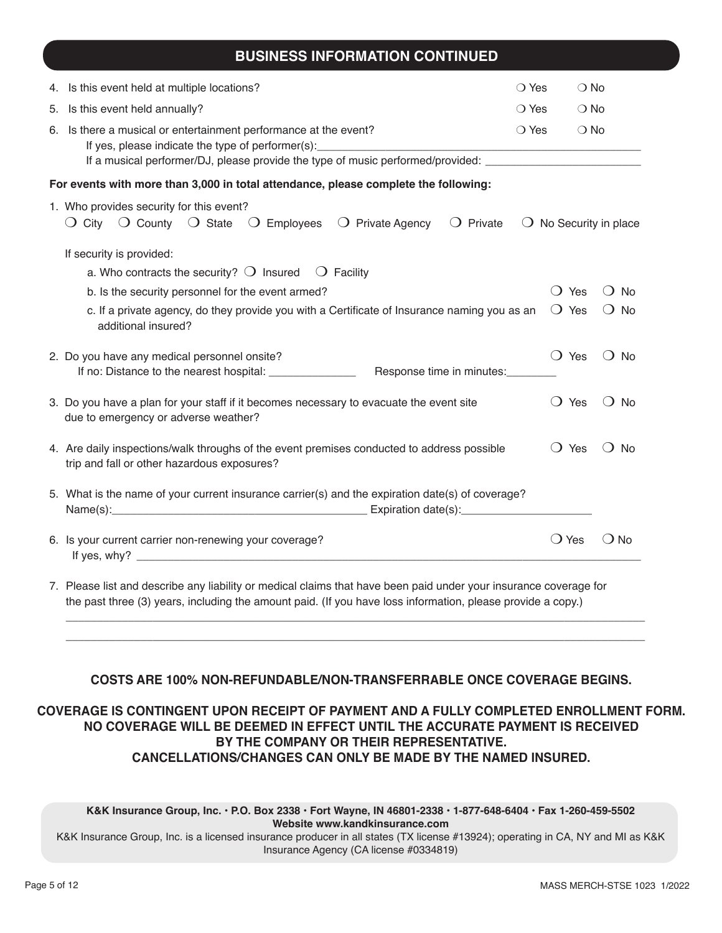## **BUSINESS INFORMATION CONTINUED**

|    | 4. Is this event held at multiple locations?                                                                                                                                                                                | $\bigcirc$ Yes | $\bigcirc$ No                 |                                 |  |  |  |
|----|-----------------------------------------------------------------------------------------------------------------------------------------------------------------------------------------------------------------------------|----------------|-------------------------------|---------------------------------|--|--|--|
| 5. | Is this event held annually?                                                                                                                                                                                                | $\bigcirc$ Yes | $\bigcirc$ No                 |                                 |  |  |  |
|    | 6. Is there a musical or entertainment performance at the event?<br>If yes, please indicate the type of performer(s):<br>If a musical performer/DJ, please provide the type of music performed/provided: __________________ | $\bigcirc$ Yes | $\bigcirc$ No                 |                                 |  |  |  |
|    | For events with more than 3,000 in total attendance, please complete the following:                                                                                                                                         |                |                               |                                 |  |  |  |
|    | 1. Who provides security for this event?<br>$\bigcirc$ City $\bigcirc$ County $\bigcirc$ State $\bigcirc$ Employees $\bigcirc$ Private Agency<br>$\bigcirc$ Private                                                         |                |                               | $\bigcirc$ No Security in place |  |  |  |
|    | If security is provided:                                                                                                                                                                                                    |                |                               |                                 |  |  |  |
|    | a. Who contracts the security? $\bigcirc$ Insured $\bigcirc$ Facility                                                                                                                                                       |                |                               |                                 |  |  |  |
|    | b. Is the security personnel for the event armed?                                                                                                                                                                           |                | Yes<br>$\left( \quad \right)$ | <b>No</b>                       |  |  |  |
|    | c. If a private agency, do they provide you with a Certificate of Insurance naming you as an<br>additional insured?                                                                                                         |                | $\bigcirc$ Yes                | $\bigcirc$ No                   |  |  |  |
|    | 2. Do you have any medical personnel onsite?<br>If no: Distance to the nearest hospital: _______________<br>Response time in minutes:                                                                                       |                | $\bigcirc$ Yes                | $\bigcirc$ No                   |  |  |  |
|    | 3. Do you have a plan for your staff if it becomes necessary to evacuate the event site<br>due to emergency or adverse weather?                                                                                             |                | $\bigcirc$ Yes                | $\bigcirc$ No                   |  |  |  |
|    | 4. Are daily inspections/walk throughs of the event premises conducted to address possible<br>trip and fall or other hazardous exposures?                                                                                   |                | $\bigcirc$ Yes                | $()$ No                         |  |  |  |
|    | 5. What is the name of your current insurance carrier(s) and the expiration date(s) of coverage?                                                                                                                            |                |                               |                                 |  |  |  |
|    | 6. Is your current carrier non-renewing your coverage?                                                                                                                                                                      |                | $\bigcirc$ Yes                | $()$ No                         |  |  |  |

7. Please list and describe any liability or medical claims that have been paid under your insurance coverage for the past three (3) years, including the amount paid. (If you have loss information, please provide a copy.)

### **COSTS ARE 100% NON-REFUNDABLE/NON-TRANSFERRABLE ONCE COVERAGE BEGINS.**

 $\overline{\phantom{a}}$  , and the contribution of the contribution of the contribution of the contribution of the contribution of the contribution of the contribution of the contribution of the contribution of the contribution of the  $\overline{\phantom{a}}$  , and the contribution of the contribution of the contribution of the contribution of the contribution of the contribution of the contribution of the contribution of the contribution of the contribution of the

### **COVERAGE IS CONTINGENT UPON RECEIPT OF PAYMENT AND A FULLY COMPLETED ENROLLMENT FORM. NO COVERAGE WILL BE DEEMED IN EFFECT UNTIL THE ACCURATE PAYMENT IS RECEIVED BY THE COMPANY OR THEIR REPRESENTATIVE. CANCELLATIONS/CHANGES CAN ONLY BE MADE BY THE NAMED INSURED.**

**K&K Insurance Group, Inc. • P.O. Box 2338 • Fort Wayne, IN 46801-2338 • 1-877-648-6404 • Fax 1-260-459-5502 Website www.kandkinsurance.com**  K&K Insurance Group, Inc. is a licensed insurance producer in all states (TX license #13924); operating in CA, NY and MI as K&K

Insurance Agency (CA license #0334819)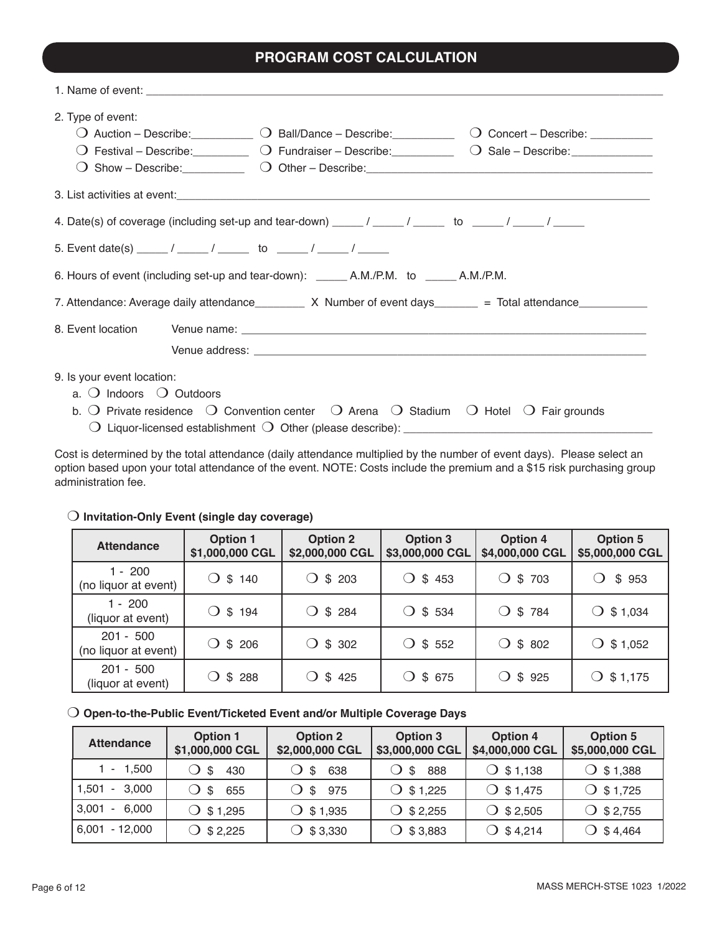# **PROGRAM COST CALCULATION**

| 2. Type of event:                                                                                             |                                                                                                                                  | $\bigcirc$ Auction – Describe: $\bigcirc$ Ball/Dance – Describe: $\bigcirc$ Concert – Describe: $\bigcirc$<br>O Festival – Describe: C Fundraiser – Describe: C Sale – Describe: C Sale – Describe: C Sale – Describe: C Sale – Describe: C Sale – Describe: C Sale – Describe: C Sale – Describe: C Sale – Describe: C Sale – Describe: C S<br>O Show - Describe: 0 Other - Describe: 0 Other - Next 2 All 2 All 2 All 2 All 2 All 2 All 2 All 2 All 2 All 2 A |
|---------------------------------------------------------------------------------------------------------------|----------------------------------------------------------------------------------------------------------------------------------|-----------------------------------------------------------------------------------------------------------------------------------------------------------------------------------------------------------------------------------------------------------------------------------------------------------------------------------------------------------------------------------------------------------------------------------------------------------------|
|                                                                                                               |                                                                                                                                  |                                                                                                                                                                                                                                                                                                                                                                                                                                                                 |
| 4. Date(s) of coverage (including set-up and tear-down) _____/ _____/ ______ to _____/ _____/ ______          |                                                                                                                                  |                                                                                                                                                                                                                                                                                                                                                                                                                                                                 |
|                                                                                                               |                                                                                                                                  |                                                                                                                                                                                                                                                                                                                                                                                                                                                                 |
|                                                                                                               |                                                                                                                                  |                                                                                                                                                                                                                                                                                                                                                                                                                                                                 |
| 7. Attendance: Average daily attendance _________ X Number of event days_______ = Total attendance___________ |                                                                                                                                  |                                                                                                                                                                                                                                                                                                                                                                                                                                                                 |
| 8. Event location                                                                                             |                                                                                                                                  |                                                                                                                                                                                                                                                                                                                                                                                                                                                                 |
| 9. Is your event location:<br>a. $\bigcirc$ Indoors $\bigcirc$ Outdoors                                       | b. O Private residence $\bigcirc$ Convention center $\bigcirc$ Arena $\bigcirc$ Stadium $\bigcirc$ Hotel $\bigcirc$ Fair grounds |                                                                                                                                                                                                                                                                                                                                                                                                                                                                 |

Cost is determined by the total attendance (daily attendance multiplied by the number of event days). Please select an option based upon your total attendance of the event. NOTE: Costs include the premium and a \$15 risk purchasing group administration fee.

### $\bigcirc$  Invitation-Only Event (single day coverage)

| <b>Attendance</b>                   | <b>Option 1</b><br>\$1,000,000 CGL | <b>Option 2</b><br>\$2,000,000 CGL | <b>Option 3</b><br>\$3,000,000 CGL | <b>Option 4</b><br>\$4,000,000 CGL | <b>Option 5</b><br>\$5,000,000 CGL |
|-------------------------------------|------------------------------------|------------------------------------|------------------------------------|------------------------------------|------------------------------------|
| 1 - 200<br>(no liquor at event)     | $\bigcirc$ \$ 140                  | \$203<br>◯.                        | $\bigcirc$ \$ 453                  | \$703<br>$\bigcirc$                | \$953                              |
| $1 - 200$<br>(liquor at event)      | $\bigcirc$ \$ 194                  | $\bigcirc$ \$ 284                  | $\bigcirc$ \$ 534                  | $\bigcirc$ \$ 784                  | $\bigcirc$ \$1,034                 |
| $201 - 500$<br>(no liquor at event) | $\bigcirc$ \$ 206                  | $\bigcirc$ \$ 302                  | $\bigcirc$ \$ 552                  | $\bigcirc$ \$ 802                  | $\bigcirc$ \$ 1,052                |
| $201 - 500$<br>(liquor at event)    | $\bigcirc$ \$ 288                  | $\bigcirc$ \$425                   | $\bigcirc$ \$ 675                  | $\bigcirc$ \$ 925                  | $\bigcirc$ \$1,175                 |

### O Open-to-the-Public Event/Ticketed Event and/or Multiple Coverage Days

| <b>Attendance</b>  | Option 1<br>\$1,000,000 CGL | <b>Option 2</b><br>\$2,000,000 CGL | Option 3<br>\$3,000,000 CGL | <b>Option 4</b><br>\$4,000,000 CGL | <b>Option 5</b><br>\$5,000,000 CGL |
|--------------------|-----------------------------|------------------------------------|-----------------------------|------------------------------------|------------------------------------|
| $1 - 1,500$        | O \$<br>430                 | 638<br>\$                          | 888<br>\$                   | $\bigcirc$ \$1,138                 | $\bigcirc$ \$1,388                 |
| 1,501 - 3,000      | 655<br>$\circ$ s            | 975<br>O \$                        | $\bigcirc$ \$1,225          | $O$ \$1,475                        | $\bigcirc$ \$1,725                 |
| 3,001<br>$-6,000$  | $\bigcirc$ \$1,295          | $\bigcirc$ \$ 1,935                | $\bigcirc$ \$ 2,255         | $\bigcirc$ \$ 2,505                | $\bigcirc$ \$2,755                 |
| 6,001<br>$-12,000$ | $\bigcirc$ \$ 2,225         | $\bigcirc$ \$3,330                 | $\bigcirc$ \$3,883          | $\bigcirc$ \$4,214                 | $\bigcirc$ \$4,464                 |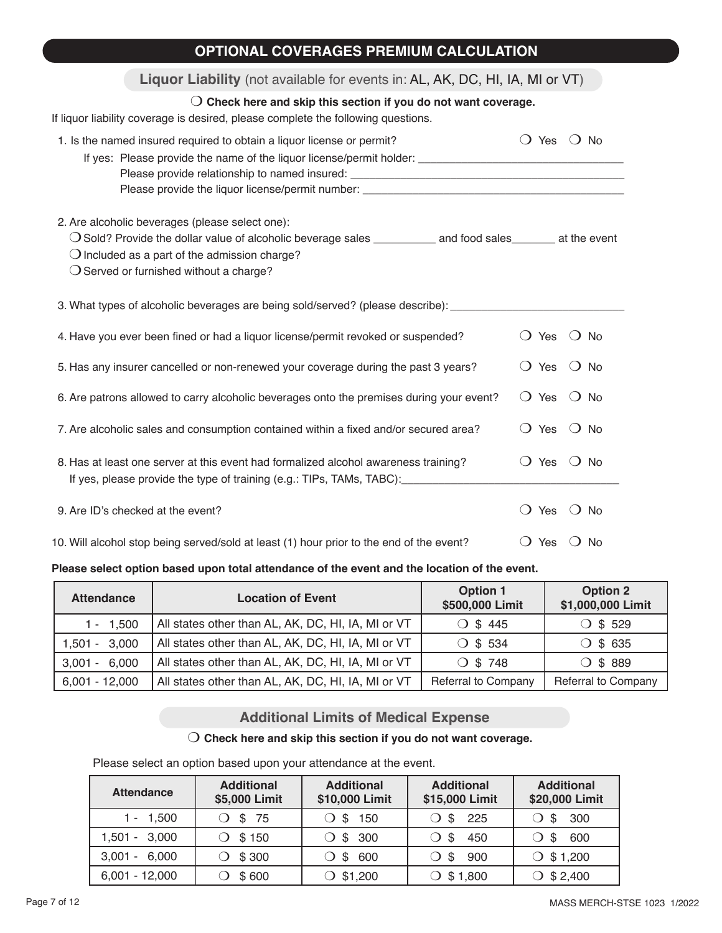| <b>OPTIONAL COVERAGES PREMIUM CALCULATION</b>                                                                                                                                                                                                                               |                           |               |
|-----------------------------------------------------------------------------------------------------------------------------------------------------------------------------------------------------------------------------------------------------------------------------|---------------------------|---------------|
| Liquor Liability (not available for events in: AL, AK, DC, HI, IA, MI or VT)                                                                                                                                                                                                |                           |               |
| $\bigcirc$ Check here and skip this section if you do not want coverage.<br>If liquor liability coverage is desired, please complete the following questions.                                                                                                               |                           |               |
| 1. Is the named insured required to obtain a liquor license or permit?<br>Please provide the liquor license/permit number: ________________________________                                                                                                                 | $\bigcirc$ Yes            | $()$ No       |
| 2. Are alcoholic beverages (please select one):<br>O Sold? Provide the dollar value of alcoholic beverage sales __________ and food sales_______ at the event<br>$\bigcirc$ Included as a part of the admission charge?<br>$\bigcirc$ Served or furnished without a charge? |                           |               |
| 3. What types of alcoholic beverages are being sold/served? (please describe): ________                                                                                                                                                                                     |                           |               |
| 4. Have you ever been fined or had a liquor license/permit revoked or suspended?                                                                                                                                                                                            | $\bigcirc$ Yes            | $\bigcirc$ No |
| 5. Has any insurer cancelled or non-renewed your coverage during the past 3 years?                                                                                                                                                                                          | $\left( \right)$<br>Yes   | $()$ No       |
| 6. Are patrons allowed to carry alcoholic beverages onto the premises during your event?                                                                                                                                                                                    | $\Omega$<br>Yes           | $\bigcirc$ No |
| 7. Are alcoholic sales and consumption contained within a fixed and/or secured area?                                                                                                                                                                                        | $\bigcirc$ Yes            | $()$ No       |
| 8. Has at least one server at this event had formalized alcohol awareness training?<br>If yes, please provide the type of training (e.g.: TIPs, TAMs, TABC):                                                                                                                | $\bigcirc$ Yes            | () No         |
| 9. Are ID's checked at the event?                                                                                                                                                                                                                                           | $\bigcirc$ Yes            | $\bigcirc$ No |
| 10. Will alcohol stop being served/sold at least (1) hour prior to the end of the event?                                                                                                                                                                                    | $\left( \ \right)$<br>Yes | () No         |

## **Please select option based upon total attendance of the event and the location of the event.**

| <b>Attendance</b> | <b>Location of Event</b>                           | <b>Option 1</b><br>\$500,000 Limit | <b>Option 2</b><br>\$1,000,000 Limit |
|-------------------|----------------------------------------------------|------------------------------------|--------------------------------------|
| $1 - 1,500$       | All states other than AL, AK, DC, HI, IA, MI or VT | $\bigcirc$ \$445                   | $\circ$ \$ 529                       |
| $1,501 - 3,000$   | All states other than AL, AK, DC, HI, IA, MI or VT | $\bigcirc$ \$ 534                  | $\circ$ \$ 635                       |
| $3,001 - 6,000$   | All states other than AL, AK, DC, HI, IA, MI or VT | $O$ \$ 748                         | $\circ$ \$ 889                       |
| $6,001 - 12,000$  | All states other than AL, AK, DC, HI, IA, MI or VT | Referral to Company                | Referral to Company                  |

# **Additional Limits of Medical Expense**

## $\bigcirc$  Check here and skip this section if you do not want coverage.

Please select an option based upon your attendance at the event.

| <b>Attendance</b> | <b>Additional</b><br>\$5,000 Limit | <b>Additional</b><br>\$10,000 Limit | <b>Additional</b><br>\$15,000 Limit | <b>Additional</b><br>\$20,000 Limit |
|-------------------|------------------------------------|-------------------------------------|-------------------------------------|-------------------------------------|
| $1 - 1,500$       | O \$ 75                            | ◯ \$ 150                            | \$225                               | $\bigcirc$ \$ 300                   |
| $1,501 - 3,000$   | \$150                              | $\bigcirc$ \$ 300                   | 450<br>\$.                          | 600<br>() S                         |
| $3,001 - 6,000$   | \$300                              | 600<br>$\bigcirc$ \$.               | -900<br>S.                          | $\circ$ \$1,200                     |
| $6,001 - 12,000$  | \$600                              | $\circ$ \$1,200                     | $\circ$ \$1,800                     | $\circ$ \$2,400                     |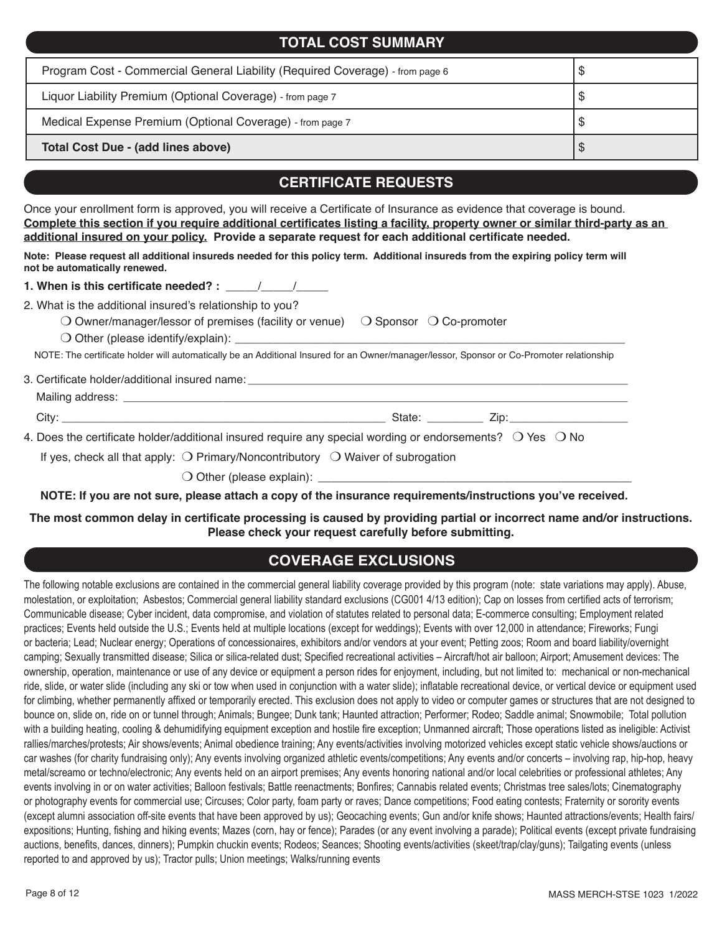| <b>TOTAL COST SUMMARY</b>                                                     |    |  |  |  |
|-------------------------------------------------------------------------------|----|--|--|--|
| Program Cost - Commercial General Liability (Required Coverage) - from page 6 | จ  |  |  |  |
| Liquor Liability Premium (Optional Coverage) - from page 7                    | 26 |  |  |  |
| Medical Expense Premium (Optional Coverage) - from page 7                     | Ψ. |  |  |  |
| <b>Total Cost Due - (add lines above)</b>                                     |    |  |  |  |

# **CERTIFICATE REQUESTS**

Once your enrollment form is approved, you will receive a Certificate of Insurance as evidence that coverage is bound. **Complete this section if you require additional certificates listing a facility, property owner or similar third-party as an additional insured on your policy. Provide a separate request for each additional certificate needed.** 

**Note: Please request all additional insureds needed for this policy term. Additional insureds from the expiring policy term will not be automatically renewed.** 

**1. When is this certificate needed? :** \_\_\_\_\_/\_\_\_\_\_/\_\_\_\_

2. What is the additional insured's relationship to you?

O Owner/manager/lessor of premises (facility or venue)  $\Box$  Sponsor  $\Box$  Co-promoter

 $\bigcirc$  Other (please identify/explain):

NOTE: The certificate holder will automatically be an Additional Insured for an Owner/manager/lessor, Sponsor or Co-Promoter relationship

3. Certificate holder/additional insured name:

Mailing address: **We are all that all the set of the set of the set of the set of the set of the set of the set of the set of the set of the set of the set of the set of the set of the set of the set of the set of the set** 

City: \_\_\_\_\_\_\_\_\_\_\_\_\_\_\_\_\_\_\_\_\_\_\_\_\_\_\_\_\_\_\_\_\_\_\_\_\_\_\_\_\_\_\_\_\_\_\_\_\_\_\_\_ State: \_\_\_\_\_\_\_\_\_ Zip:\_\_\_\_\_\_\_\_\_\_\_\_\_\_\_\_\_\_\_

4. Does the certificate holder/additional insured require any special wording or endorsements?  $\circ$  Yes  $\circ$  No

If yes, check all that apply:  $\bigcirc$  Primary/Noncontributory  $\bigcirc$  Waiver of subrogation

m Other (please explain): \_\_\_\_\_\_\_\_\_\_\_\_\_\_\_\_\_\_\_\_\_\_\_\_\_\_\_\_\_\_\_\_\_\_\_\_\_\_\_\_\_\_\_\_\_\_\_\_\_

**NOTE: If you are not sure, please attach a copy of the insurance requirements/instructions you've received.**

**The most common delay in certificate processing is caused by providing partial or incorrect name and/or instructions. Please check your request carefully before submitting.**

# **COVERAGE EXCLUSIONS**

The following notable exclusions are contained in the commercial general liability coverage provided by this program (note: state variations may apply). Abuse, molestation, or exploitation; Asbestos; Commercial general liability standard exclusions (CG001 4/13 edition); Cap on losses from certified acts of terrorism; Communicable disease; Cyber incident, data compromise, and violation of statutes related to personal data; E-commerce consulting; Employment related practices; Events held outside the U.S.; Events held at multiple locations (except for weddings); Events with over 12,000 in attendance; Fireworks; Fungi or bacteria; Lead; Nuclear energy; Operations of concessionaires, exhibitors and/or vendors at your event; Petting zoos; Room and board liability/overnight camping; Sexually transmitted disease; Silica or silica-related dust; Specified recreational activities – Aircraft/hot air balloon; Airport; Amusement devices: The ownership, operation, maintenance or use of any device or equipment a person rides for enjoyment, including, but not limited to: mechanical or non-mechanical ride, slide, or water slide (including any ski or tow when used in conjunction with a water slide); inflatable recreational device, or vertical device or equipment used for climbing, whether permanently affixed or temporarily erected. This exclusion does not apply to video or computer games or structures that are not designed to bounce on, slide on, ride on or tunnel through; Animals; Bungee; Dunk tank; Haunted attraction; Performer; Rodeo; Saddle animal; Snowmobile; Total pollution with a building heating, cooling & dehumidifying equipment exception and hostile fire exception; Unmanned aircraft; Those operations listed as ineligible: Activist rallies/marches/protests; Air shows/events; Animal obedience training; Any events/activities involving motorized vehicles except static vehicle shows/auctions or car washes (for charity fundraising only); Any events involving organized athletic events/competitions; Any events and/or concerts – involving rap, hip-hop, heavy metal/screamo or techno/electronic; Any events held on an airport premises; Any events honoring national and/or local celebrities or professional athletes; Any events involving in or on water activities; Balloon festivals; Battle reenactments; Bonfires; Cannabis related events; Christmas tree sales/lots; Cinematography or photography events for commercial use; Circuses; Color party, foam party or raves; Dance competitions; Food eating contests; Fraternity or sorority events (except alumni association off-site events that have been approved by us); Geocaching events; Gun and/or knife shows; Haunted attractions/events; Health fairs/ expositions; Hunting, fishing and hiking events; Mazes (corn, hay or fence); Parades (or any event involving a parade); Political events (except private fundraising auctions, benefits, dances, dinners); Pumpkin chuckin events; Rodeos; Seances; Shooting events/activities (skeet/trap/clay/guns); Tailgating events (unless reported to and approved by us); Tractor pulls; Union meetings; Walks/running events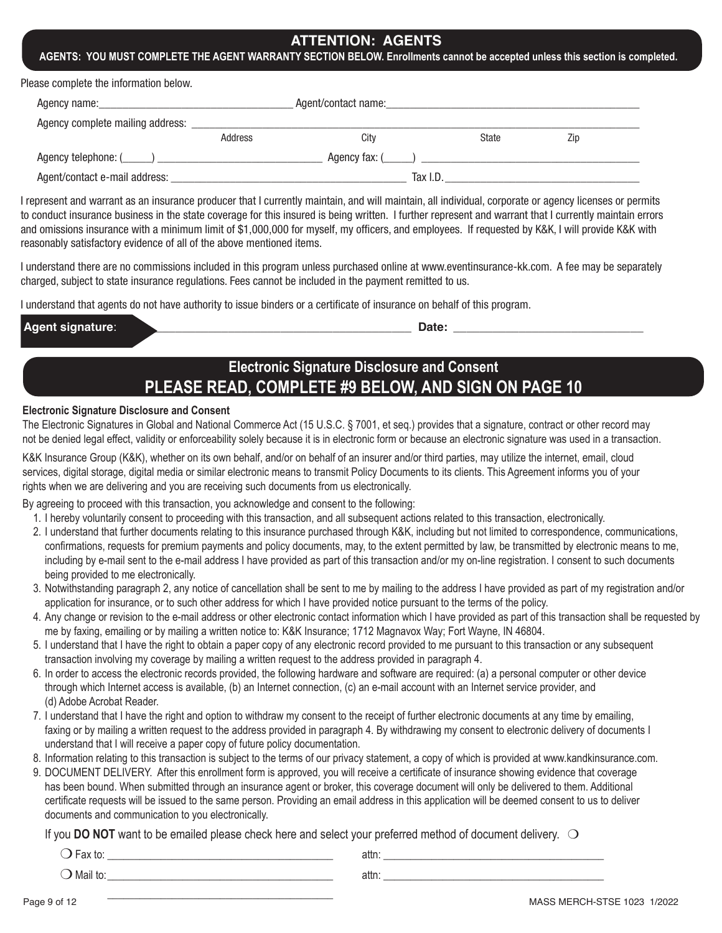## **ATTENTION: AGENTS**

#### **AGENTS: YOU MUST COMPLETE THE AGENT WARRANTY SECTION BELOW. Enrollments cannot be accepted unless this section is completed.**

Please complete the information below.

|                                  |         | Agent/contact name: |                |     |  |
|----------------------------------|---------|---------------------|----------------|-----|--|
| Agency complete mailing address: |         |                     |                |     |  |
|                                  | Address | City                | State          | Zip |  |
|                                  |         |                     | Agency fax: () |     |  |
| Agent/contact e-mail address:    |         | Tax I.D.            |                |     |  |

I represent and warrant as an insurance producer that I currently maintain, and will maintain, all individual, corporate or agency licenses or permits to conduct insurance business in the state coverage for this insured is being written. I further represent and warrant that I currently maintain errors and omissions insurance with a minimum limit of \$1,000,000 for myself, my officers, and employees. If requested by K&K, I will provide K&K with reasonably satisfactory evidence of all of the above mentioned items.

I understand there are no commissions included in this program unless purchased online at www.eventinsurance-kk.com. A fee may be separately charged, subject to state insurance regulations. Fees cannot be included in the payment remitted to us.

I understand that agents do not have authority to issue binders or a certificate of insurance on behalf of this program.

| <b>Agent signature:</b> |  |
|-------------------------|--|
|-------------------------|--|

 $\blacksquare$  Date:

# **Electronic Signature Disclosure and Consent PLEASE READ, COMPLETE #9 BELOW, AND SIGN ON PAGE 10**

#### **Electronic Signature Disclosure and Consent**

The Electronic Signatures in Global and National Commerce Act (15 U.S.C. § 7001, et seq.) provides that a signature, contract or other record may not be denied legal effect, validity or enforceability solely because it is in electronic form or because an electronic signature was used in a transaction.

K&K Insurance Group (K&K), whether on its own behalf, and/or on behalf of an insurer and/or third parties, may utilize the internet, email, cloud services, digital storage, digital media or similar electronic means to transmit Policy Documents to its clients. This Agreement informs you of your rights when we are delivering and you are receiving such documents from us electronically.

By agreeing to proceed with this transaction, you acknowledge and consent to the following:

- 1. I hereby voluntarily consent to proceeding with this transaction, and all subsequent actions related to this transaction, electronically.
- 2. I understand that further documents relating to this insurance purchased through K&K, including but not limited to correspondence, communications, confirmations, requests for premium payments and policy documents, may, to the extent permitted by law, be transmitted by electronic means to me, including by e-mail sent to the e-mail address I have provided as part of this transaction and/or my on-line registration. I consent to such documents being provided to me electronically.
- 3. Notwithstanding paragraph 2, any notice of cancellation shall be sent to me by mailing to the address I have provided as part of my registration and/or application for insurance, or to such other address for which I have provided notice pursuant to the terms of the policy.
- 4. Any change or revision to the e-mail address or other electronic contact information which I have provided as part of this transaction shall be requested by me by faxing, emailing or by mailing a written notice to: K&K Insurance; 1712 Magnavox Way; Fort Wayne, IN 46804.
- 5. I understand that I have the right to obtain a paper copy of any electronic record provided to me pursuant to this transaction or any subsequent transaction involving my coverage by mailing a written request to the address provided in paragraph 4.
- 6. In order to access the electronic records provided, the following hardware and software are required: (a) a personal computer or other device through which Internet access is available, (b) an Internet connection, (c) an e-mail account with an Internet service provider, and (d) Adobe Acrobat Reader.
- 7. I understand that I have the right and option to withdraw my consent to the receipt of further electronic documents at any time by emailing, faxing or by mailing a written request to the address provided in paragraph 4. By withdrawing my consent to electronic delivery of documents I understand that I will receive a paper copy of future policy documentation.
- 8. Information relating to this transaction is subject to the terms of our privacy statement, a copy of which is provided at www.kandkinsurance.com.
- 9. DOCUMENT DELIVERY. After this enrollment form is approved, you will receive a certificate of insurance showing evidence that coverage has been bound. When submitted through an insurance agent or broker, this coverage document will only be delivered to them. Additional certificate requests will be issued to the same person. Providing an email address in this application will be deemed consent to us to deliver documents and communication to you electronically.

If you **DO NOT** want to be emailed please check here and select your preferred method of document delivery.  $\bigcirc$ 

m Fax to: \_\_\_\_\_\_\_\_\_\_\_\_\_\_\_\_\_\_\_\_\_\_\_\_\_\_\_\_\_\_\_\_\_\_\_\_\_\_\_\_\_\_ attn: \_\_\_\_\_\_\_\_\_\_\_\_\_\_\_\_\_\_\_\_\_\_\_\_\_\_\_\_\_\_\_\_\_\_\_\_\_\_\_\_\_  $\bigcirc$  Mail to:  $\qquad \qquad$  attn: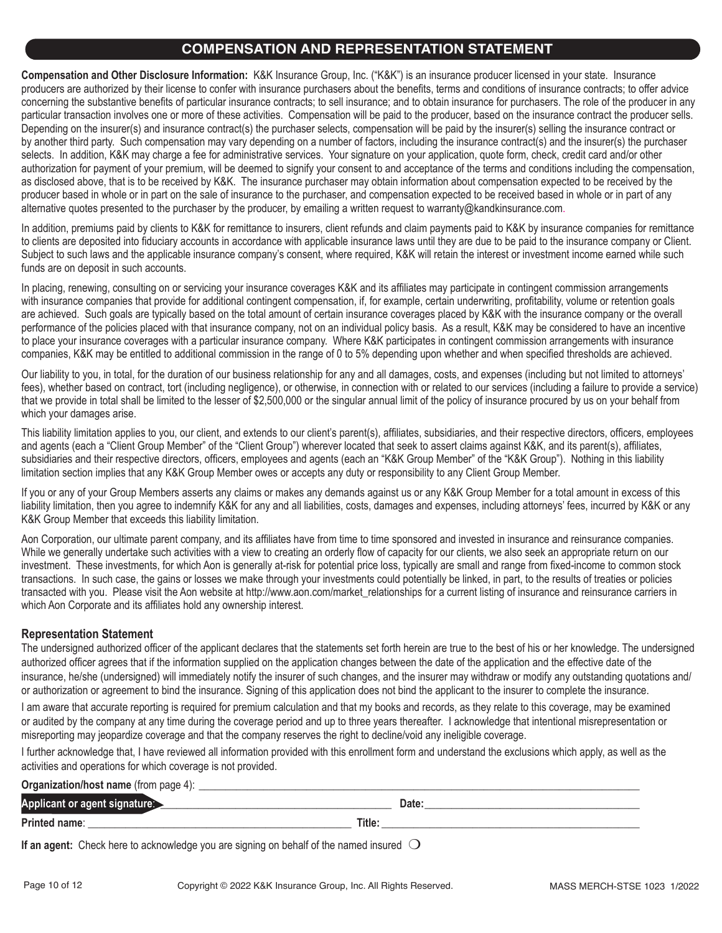## **COMPENSATION AND REPRESENTATION STATEMENT**

**Compensation and Other Disclosure Information:** K&K Insurance Group, Inc. ("K&K") is an insurance producer licensed in your state. Insurance producers are authorized by their license to confer with insurance purchasers about the benefits, terms and conditions of insurance contracts; to offer advice concerning the substantive benefits of particular insurance contracts; to sell insurance; and to obtain insurance for purchasers. The role of the producer in any particular transaction involves one or more of these activities. Compensation will be paid to the producer, based on the insurance contract the producer sells. Depending on the insurer(s) and insurance contract(s) the purchaser selects, compensation will be paid by the insurer(s) selling the insurance contract or by another third party. Such compensation may vary depending on a number of factors, including the insurance contract(s) and the insurer(s) the purchaser selects. In addition, K&K may charge a fee for administrative services. Your signature on your application, quote form, check, credit card and/or other authorization for payment of your premium, will be deemed to signify your consent to and acceptance of the terms and conditions including the compensation, as disclosed above, that is to be received by K&K. The insurance purchaser may obtain information about compensation expected to be received by the producer based in whole or in part on the sale of insurance to the purchaser, and compensation expected to be received based in whole or in part of any alternative quotes presented to the purchaser by the producer, by emailing a written request to warranty@kandkinsurance.com.

In addition, premiums paid by clients to K&K for remittance to insurers, client refunds and claim payments paid to K&K by insurance companies for remittance to clients are deposited into fiduciary accounts in accordance with applicable insurance laws until they are due to be paid to the insurance company or Client. Subject to such laws and the applicable insurance company's consent, where required, K&K will retain the interest or investment income earned while such funds are on deposit in such accounts.

In placing, renewing, consulting on or servicing your insurance coverages K&K and its affiliates may participate in contingent commission arrangements with insurance companies that provide for additional contingent compensation, if, for example, certain underwriting, profitability, volume or retention goals are achieved. Such goals are typically based on the total amount of certain insurance coverages placed by K&K with the insurance company or the overall performance of the policies placed with that insurance company, not on an individual policy basis. As a result, K&K may be considered to have an incentive to place your insurance coverages with a particular insurance company. Where K&K participates in contingent commission arrangements with insurance companies, K&K may be entitled to additional commission in the range of 0 to 5% depending upon whether and when specified thresholds are achieved.

Our liability to you, in total, for the duration of our business relationship for any and all damages, costs, and expenses (including but not limited to attorneys' fees), whether based on contract, tort (including negligence), or otherwise, in connection with or related to our services (including a failure to provide a service) that we provide in total shall be limited to the lesser of \$2,500,000 or the singular annual limit of the policy of insurance procured by us on your behalf from which your damages arise.

This liability limitation applies to you, our client, and extends to our client's parent(s), affiliates, subsidiaries, and their respective directors, officers, employees and agents (each a "Client Group Member" of the "Client Group") wherever located that seek to assert claims against K&K, and its parent(s), affiliates, subsidiaries and their respective directors, officers, employees and agents (each an "K&K Group Member" of the "K&K Group"). Nothing in this liability limitation section implies that any K&K Group Member owes or accepts any duty or responsibility to any Client Group Member.

If you or any of your Group Members asserts any claims or makes any demands against us or any K&K Group Member for a total amount in excess of this liability limitation, then you agree to indemnify K&K for any and all liabilities, costs, damages and expenses, including attorneys' fees, incurred by K&K or any K&K Group Member that exceeds this liability limitation.

Aon Corporation, our ultimate parent company, and its affiliates have from time to time sponsored and invested in insurance and reinsurance companies. While we generally undertake such activities with a view to creating an orderly flow of capacity for our clients, we also seek an appropriate return on our investment. These investments, for which Aon is generally at-risk for potential price loss, typically are small and range from fixed-income to common stock transactions. In such case, the gains or losses we make through your investments could potentially be linked, in part, to the results of treaties or policies transacted with you. Please visit the Aon website at http://www.aon.com/market\_relationships for a current listing of insurance and reinsurance carriers in which Aon Corporate and its affiliates hold any ownership interest.

#### **Representation Statement**

The undersigned authorized officer of the applicant declares that the statements set forth herein are true to the best of his or her knowledge. The undersigned authorized officer agrees that if the information supplied on the application changes between the date of the application and the effective date of the insurance, he/she (undersigned) will immediately notify the insurer of such changes, and the insurer may withdraw or modify any outstanding quotations and/ or authorization or agreement to bind the insurance. Signing of this application does not bind the applicant to the insurer to complete the insurance.

I am aware that accurate reporting is required for premium calculation and that my books and records, as they relate to this coverage, may be examined or audited by the company at any time during the coverage period and up to three years thereafter. I acknowledge that intentional misrepresentation or misreporting may jeopardize coverage and that the company reserves the right to decline/void any ineligible coverage.

I further acknowledge that, I have reviewed all information provided with this enrollment form and understand the exclusions which apply, as well as the activities and operations for which coverage is not provided.

| <b>Organization/host name (from page 4):</b> |        |       |
|----------------------------------------------|--------|-------|
| Applicant or agent signature:                |        | Date. |
| Printed name:                                | Title: |       |

**If an agent:** Check here to acknowledge you are signing on behalf of the named insured  $\bigcirc$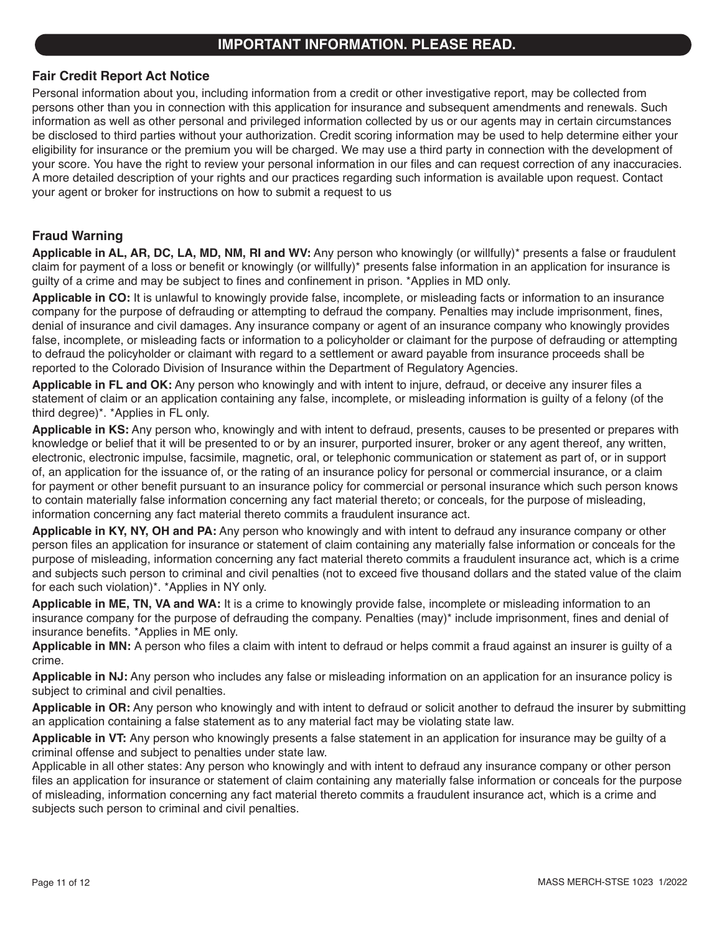## **IMPORTANT INFORMATION. PLEASE READ.**

### **Fair Credit Report Act Notice**

Personal information about you, including information from a credit or other investigative report, may be collected from persons other than you in connection with this application for insurance and subsequent amendments and renewals. Such information as well as other personal and privileged information collected by us or our agents may in certain circumstances be disclosed to third parties without your authorization. Credit scoring information may be used to help determine either your eligibility for insurance or the premium you will be charged. We may use a third party in connection with the development of your score. You have the right to review your personal information in our files and can request correction of any inaccuracies. A more detailed description of your rights and our practices regarding such information is available upon request. Contact your agent or broker for instructions on how to submit a request to us

### **Fraud Warning**

**Applicable in AL, AR, DC, LA, MD, NM, RI and WV:** Any person who knowingly (or willfully)\* presents a false or fraudulent claim for payment of a loss or benefit or knowingly (or willfully)\* presents false information in an application for insurance is guilty of a crime and may be subject to fines and confinement in prison. \*Applies in MD only.

**Applicable in CO:** It is unlawful to knowingly provide false, incomplete, or misleading facts or information to an insurance company for the purpose of defrauding or attempting to defraud the company. Penalties may include imprisonment, fines, denial of insurance and civil damages. Any insurance company or agent of an insurance company who knowingly provides false, incomplete, or misleading facts or information to a policyholder or claimant for the purpose of defrauding or attempting to defraud the policyholder or claimant with regard to a settlement or award payable from insurance proceeds shall be reported to the Colorado Division of Insurance within the Department of Regulatory Agencies.

**Applicable in FL and OK:** Any person who knowingly and with intent to injure, defraud, or deceive any insurer files a statement of claim or an application containing any false, incomplete, or misleading information is guilty of a felony (of the third degree)\*. \*Applies in FL only.

**Applicable in KS:** Any person who, knowingly and with intent to defraud, presents, causes to be presented or prepares with knowledge or belief that it will be presented to or by an insurer, purported insurer, broker or any agent thereof, any written, electronic, electronic impulse, facsimile, magnetic, oral, or telephonic communication or statement as part of, or in support of, an application for the issuance of, or the rating of an insurance policy for personal or commercial insurance, or a claim for payment or other benefit pursuant to an insurance policy for commercial or personal insurance which such person knows to contain materially false information concerning any fact material thereto; or conceals, for the purpose of misleading, information concerning any fact material thereto commits a fraudulent insurance act.

**Applicable in KY, NY, OH and PA:** Any person who knowingly and with intent to defraud any insurance company or other person files an application for insurance or statement of claim containing any materially false information or conceals for the purpose of misleading, information concerning any fact material thereto commits a fraudulent insurance act, which is a crime and subjects such person to criminal and civil penalties (not to exceed five thousand dollars and the stated value of the claim for each such violation)\*. \*Applies in NY only.

**Applicable in ME, TN, VA and WA:** It is a crime to knowingly provide false, incomplete or misleading information to an insurance company for the purpose of defrauding the company. Penalties (may)\* include imprisonment, fines and denial of insurance benefits. \*Applies in ME only.

**Applicable in MN:** A person who files a claim with intent to defraud or helps commit a fraud against an insurer is guilty of a crime.

**Applicable in NJ:** Any person who includes any false or misleading information on an application for an insurance policy is subject to criminal and civil penalties.

**Applicable in OR:** Any person who knowingly and with intent to defraud or solicit another to defraud the insurer by submitting an application containing a false statement as to any material fact may be violating state law.

**Applicable in VT:** Any person who knowingly presents a false statement in an application for insurance may be guilty of a criminal offense and subject to penalties under state law.

Applicable in all other states: Any person who knowingly and with intent to defraud any insurance company or other person files an application for insurance or statement of claim containing any materially false information or conceals for the purpose of misleading, information concerning any fact material thereto commits a fraudulent insurance act, which is a crime and subjects such person to criminal and civil penalties.